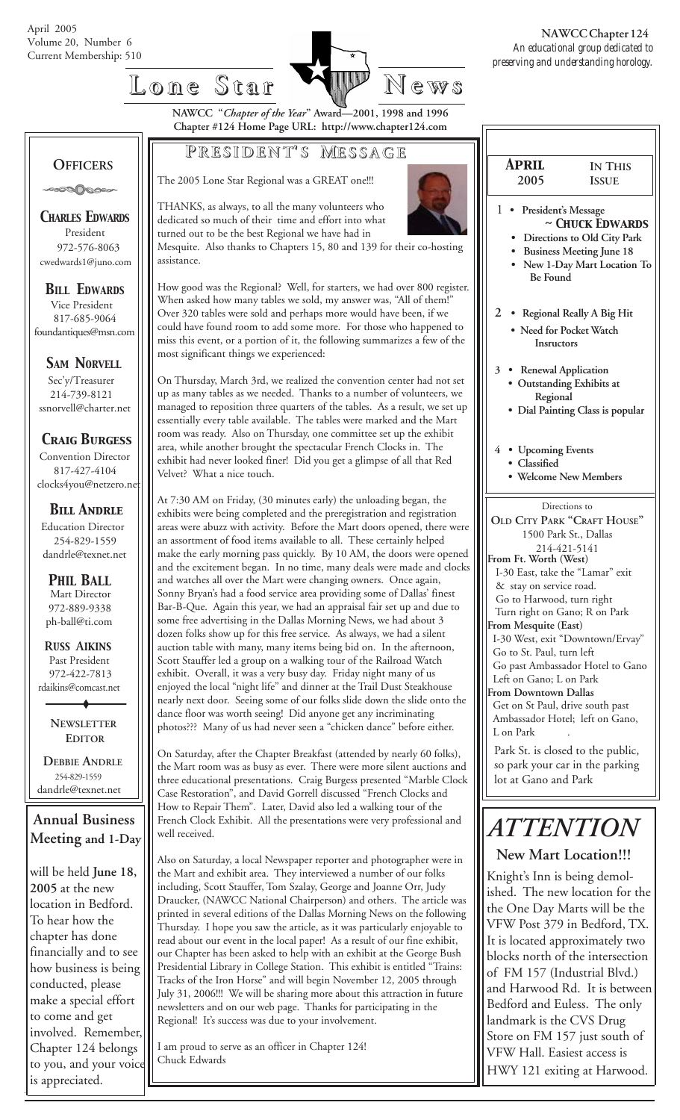

**NAWCC "***Chapter of the Year***" Award—2001, 1998 and 1996 Chapter #124 Home Page URL: http://www.chapter124.com**

### **P RESIDENT RESIDENT' S M ESSAGE**

The 2005 Lone Star Regional was a GREAT one!!!



 1 **• President's Message** *~ Chuck Edwards*

 *April* **2005**

**IN THIS ISSUE**

- **Directions to Old City Park**
- **Business Meeting June 18 • New 1-Day Mart Location To**
- **Be Found**
- **2 Regional Really A Big Hit**
	- **Need for Pocket Watch Insructors**
	- **3 Renewal Application • Outstanding Exhibits at Regional**
	- **Dial Painting Class is popular**
	- **4 Upcoming Events**
	- **Classified**
	- **Welcome New Members**

Directions to **OLD CITY PARK "CRAFT HOUSE"** 1500 Park St., Dallas 214-421-5141 **From Ft. Worth (West)** I-30 East, take the "Lamar" exit & stay on service road. Go to Harwood, turn right Turn right on Gano; R on Park **From Mesquite (East)** I-30 West, exit "Downtown/Ervay" Go to St. Paul, turn left Go past Ambassador Hotel to Gano Left on Gano; L on Park **From Downtown Dallas** Get on St Paul, drive south past Ambassador Hotel; left on Gano, L on Park

Park St. is closed to the public, so park your car in the parking lot at Gano and Park

# *ATTENTION*

#### **New Mart Location!!!**

 Knight's Inn is being demol ished. The new location for the the One Day Marts will be the VFW Post 379 in Bedford, TX. It is located approximately two blocks north of the intersection of FM 157 (Industrial Blvd.) and Harwood Rd. It is between Bedford and Euless. The only landmark is the CVS Drug Store on FM 157 just south of VFW Hall. Easiest access is HWY 121 exiting at Harwood.

## **OFFICERS**

-∞∞⊙⊘⊘∞⊶

*CHARLES EDWARDS* President 972-576-8063 cwedwards1@juno.com

#### *BILL EDWARDS* Vice President

 817-685-9064 foundantiques@msn.com

#### **SAM NORVELL**

 Sec'y/Treasurer 214-739-8121 ssnorvell@charter.net

#### *Craig Burgess*

 Convention Director 817-427-4104 clocks4you@netzero.ne

### *Bill Andrle*

 Education Director 254-829-1559 dandrle@texnet.net

#### Mart Director 972-889-9338 ph-ball@ti.com *PHIL BALL*

 **R***USS* **A***IKINS* Past President 972-422-7813 rdaikins@comcast.net

> **NEWSLETTER EDITOR**

 **DEBBIE ANDRLE** 254-829-1559 dandrle@texnet.net

**Annual Business Meeting and 1-Day**

will be held **June 18, 2005** at the new location in Bedford. To hear how the chapter has done financially and to see how business is being conducted, please make a special effort to come and get involved. Remember, Chapter 124 belongs to you, and your voice is appreciated.

THANKS, as always, to all the many volunteers who dedicated so much of their time and effort into what turned out to be the best Regional we have had in

Mesquite. Also thanks to Chapters 15, 80 and 139 for their co-hosting assistance.

How good was the Regional? Well, for starters, we had over 800 register. When asked how many tables we sold, my answer was, "All of them!" Over 320 tables were sold and perhaps more would have been, if we could have found room to add some more. For those who happened to miss this event, or a portion of it, the following summarizes a few of the most significant things we experienced:

On Thursday, March 3rd, we realized the convention center had not set up as many tables as we needed. Thanks to a number of volunteers, we managed to reposition three quarters of the tables. As a result, we set up essentially every table available. The tables were marked and the Mart room was ready. Also on Thursday, one committee set up the exhibit area, while another brought the spectacular French Clocks in. The exhibit had never looked finer! Did you get a glimpse of all that Red Velvet? What a nice touch.

At 7:30 AM on Friday, (30 minutes early) the unloading began, the exhibits were being completed and the preregistration and registration areas were abuzz with activity. Before the Mart doors opened, there were an assortment of food items available to all. These certainly helped make the early morning pass quickly. By 10 AM, the doors were opened and the excitement began. In no time, many deals were made and clocks and watches all over the Mart were changing owners. Once again, Sonny Bryan's had a food service area providing some of Dallas' finest Bar-B-Que. Again this year, we had an appraisal fair set up and due to some free advertising in the Dallas Morning News, we had about 3 dozen folks show up for this free service. As always, we had a silent auction table with many, many items being bid on. In the afternoon, Scott Stauffer led a group on a walking tour of the Railroad Watch exhibit. Overall, it was a very busy day. Friday night many of us enjoyed the local "night life" and dinner at the Trail Dust Steakhouse nearly next door. Seeing some of our folks slide down the slide onto the dance floor was worth seeing! Did anyone get any incriminating photos??? Many of us had never seen a "chicken dance" before either.

On Saturday, after the Chapter Breakfast (attended by nearly 60 folks), the Mart room was as busy as ever. There were more silent auctions and three educational presentations. Craig Burgess presented "Marble Clock Case Restoration", and David Gorrell discussed "French Clocks and How to Repair Them". Later, David also led a walking tour of the French Clock Exhibit. All the presentations were very professional and well received.

Also on Saturday, a local Newspaper reporter and photographer were in the Mart and exhibit area. They interviewed a number of our folks including, Scott Stauffer, Tom Szalay, George and Joanne Orr, Judy Draucker, (NAWCC National Chairperson) and others. The article was printed in several editions of the Dallas Morning News on the following Thursday. I hope you saw the article, as it was particularly enjoyable to read about our event in the local paper! As a result of our fine exhibit, our Chapter has been asked to help with an exhibit at the George Bush Presidential Library in College Station. This exhibit is entitled "Trains: Tracks of the Iron Horse" and will begin November 12, 2005 through July 31, 2006!!! We will be sharing more about this attraction in future newsletters and on our web page. Thanks for participating in the Regional! It's success was due to your involvement.

I am proud to serve as an officer in Chapter 124! Chuck Edwards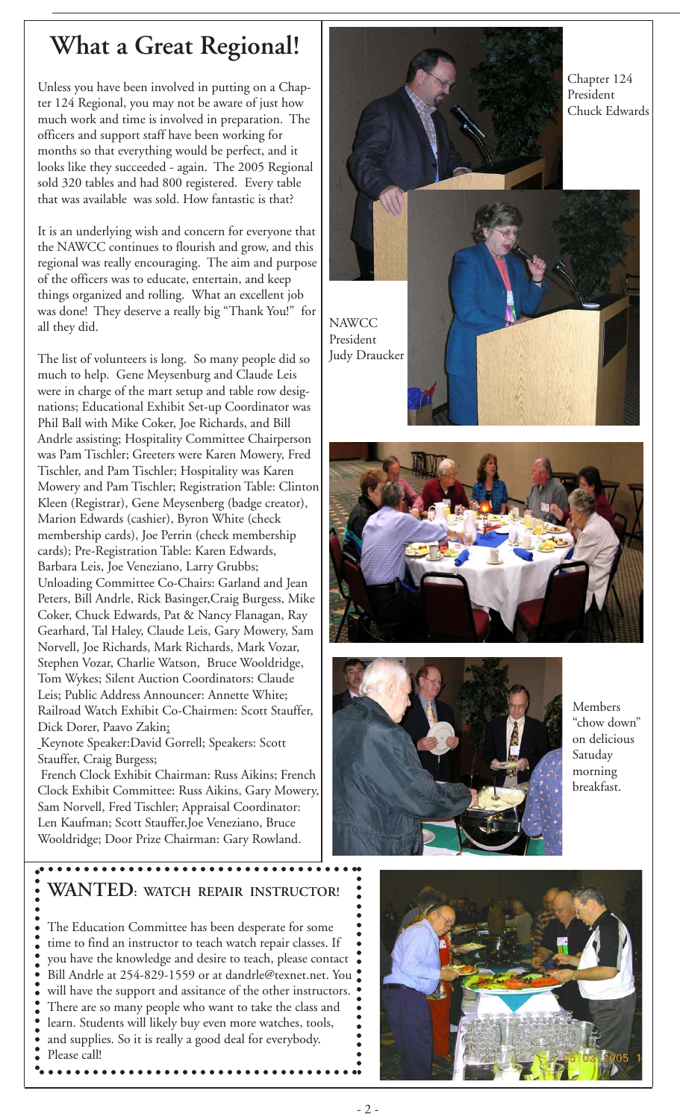## **What a Great Regional!**

Unless you have been involved in putting on a Chapter 124 Regional, you may not be aware of just how much work and time is involved in preparation. The officers and support staff have been working for months so that everything would be perfect, and it looks like they succeeded - again. The 2005 Regional sold 320 tables and had 800 registered. Every table that was available was sold. How fantastic is that?

It is an underlying wish and concern for everyone that the NAWCC continues to flourish and grow, and this regional was really encouraging. The aim and purpose of the officers was to educate, entertain, and keep things organized and rolling. What an excellent job was done! They deserve a really big "Thank You!" for all they did.

The list of volunteers is long. So many people did so much to help. Gene Meysenburg and Claude Leis were in charge of the mart setup and table row designations; Educational Exhibit Set-up Coordinator was Phil Ball with Mike Coker, Joe Richards, and Bill Andrle assisting; Hospitality Committee Chairperson was Pam Tischler; Greeters were Karen Mowery, Fred Tischler, and Pam Tischler; Hospitality was Karen Mowery and Pam Tischler; Registration Table: Clinton Kleen (Registrar), Gene Meysenberg (badge creator), Marion Edwards (cashier), Byron White (check membership cards), Joe Perrin (check membership cards); Pre-Registration Table: Karen Edwards, Barbara Leis, Joe Veneziano, Larry Grubbs; Unloading Committee Co-Chairs: Garland and Jean Peters, Bill Andrle, Rick Basinger,Craig Burgess, Mike Coker, Chuck Edwards, Pat & Nancy Flanagan, Ray Gearhard, Tal Haley, Claude Leis, Gary Mowery, Sam Norvell, Joe Richards, Mark Richards, Mark Vozar, Stephen Vozar, Charlie Watson, Bruce Wooldridge, Tom Wykes; Silent Auction Coordinators: Claude Leis; Public Address Announcer: Annette White; Railroad Watch Exhibit Co-Chairmen: Scott Stauffer, Dick Dorer, Paavo Zakin;

 Keynote Speaker:David Gorrell; Speakers: Scott Stauffer, Craig Burgess;

○○○○○○ ○○○○○○○○○○○○○○○○○○○○○○○○○○○○○○

○○○○○○○○○○○○○○

○○○○○○○○

 French Clock Exhibit Chairman: Russ Aikins; French Clock Exhibit Committee: Russ Aikins, Gary Mowery, Sam Norvell, Fred Tischler; Appraisal Coordinator: Len Kaufman; Scott Stauffer,Joe Veneziano, Bruce Wooldridge; Door Prize Chairman: Gary Rowland.







Members "chow down" on delicious Satuday morning breakfast.

### **WANTED: WATCH REPAIR INSTRUCTOR!**

• The Education Committee has been desperate for some time to find an instructor to teach watch repair classes. If you have the knowledge and desire to teach, please contact Bill Andrle at 254-829-1559 or at dandrle@texnet.net. You . will have the support and assitance of the other instructors. There are so many people who want to take the class and learn. Students will likely buy even more watches, tools, and supplies. So it is really a good deal for everybody. Please call!

○○○○○○ ○○○○○○○○○○○○○○○○○○○○○○○○○○○○○○



○○○○○○○○○○

○○○○○○○○○○○○○

Chapter 124 President Chuck Edwards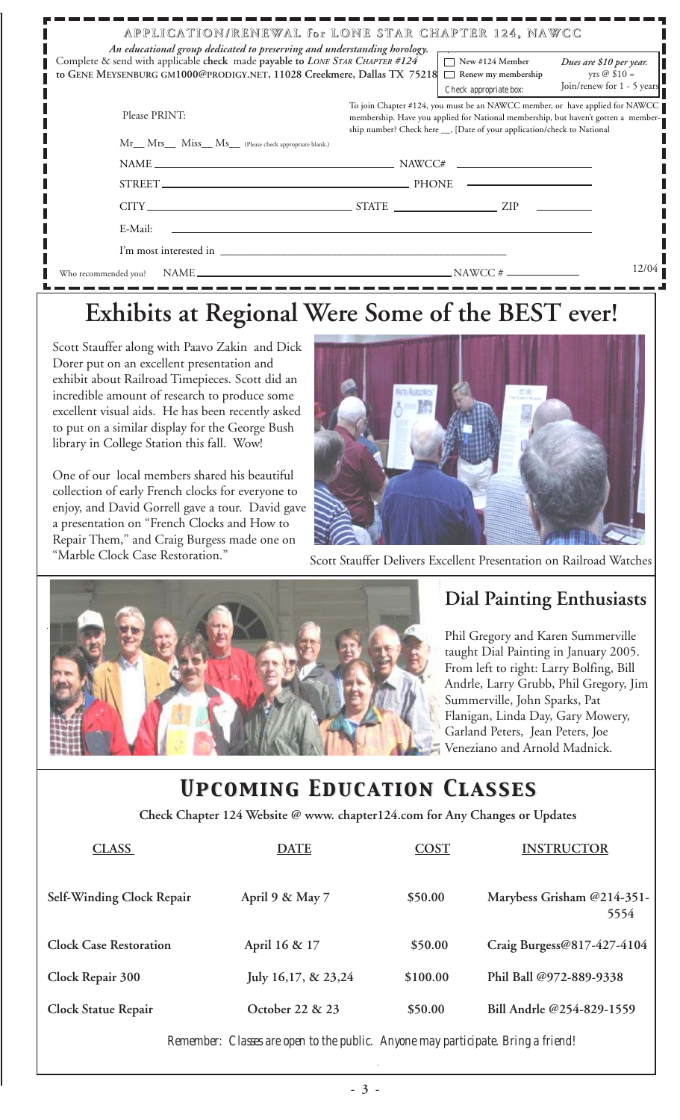| APPLICATION/RENEWAL for LONE STAR CHAPTER 124, NAWCC<br>An educational group dedicated to preserving and understanding horology.                        |                                                                                                                                                                                                                                               |                                                                         |                                                                               |  |  |
|---------------------------------------------------------------------------------------------------------------------------------------------------------|-----------------------------------------------------------------------------------------------------------------------------------------------------------------------------------------------------------------------------------------------|-------------------------------------------------------------------------|-------------------------------------------------------------------------------|--|--|
| Complete & send with applicable check made payable to LONE STAR CHAPTER #124<br>to GENE MEYSENBURG GM1000@PRODIGY.NET, 11028 Creekmere, Dallas TX 75218 |                                                                                                                                                                                                                                               | $\Box$ New #124 Member<br>Renew my membership<br>Check appropriate box: | Dues are \$10 per year.<br>yrs $\oslash$ \$10 =<br>Join/renew for 1 - 5 years |  |  |
| Please PRINT:                                                                                                                                           | To join Chapter #124, you must be an NAWCC member, or have applied for NAWCC<br>membership. Have you applied for National membership, but haven't gotten a member-<br>ship number? Check here __, [Date of your application/check to National |                                                                         |                                                                               |  |  |
| Mr__ Mrs__ Miss__ Ms__ (Please check appropriate blank.)                                                                                                |                                                                                                                                                                                                                                               |                                                                         |                                                                               |  |  |
|                                                                                                                                                         |                                                                                                                                                                                                                                               |                                                                         |                                                                               |  |  |
|                                                                                                                                                         |                                                                                                                                                                                                                                               |                                                                         |                                                                               |  |  |
| $CITY$ $ZIP$ $ZIP$                                                                                                                                      |                                                                                                                                                                                                                                               |                                                                         |                                                                               |  |  |
| E-Mail:                                                                                                                                                 |                                                                                                                                                                                                                                               |                                                                         |                                                                               |  |  |
| I'm most interested in                                                                                                                                  |                                                                                                                                                                                                                                               |                                                                         |                                                                               |  |  |
| NAME $\overline{\phantom{a}}$ NAME $\overline{\phantom{a}}$<br>Who recommended you?                                                                     |                                                                                                                                                                                                                                               |                                                                         | 12/04                                                                         |  |  |

## **Exhibits at Regional Were Some of the BEST ever!**

Scott Stauffer along with Paavo Zakin and Dick Dorer put on an excellent presentation and exhibit about Railroad Timepieces. Scott did an incredible amount of research to produce some excellent visual aids. He has been recently asked to put on a similar display for the George Bush library in College Station this fall. Wow!

One of our local members shared his beautiful collection of early French clocks for everyone to enjoy, and David Gorrell gave a tour. David gave a presentation on "French Clocks and How to Repair Them," and Craig Burgess made one on



"Marble Clock Case Restoration." Scott Stauffer Delivers Excellent Presentation on Railroad Watches



### **Dial Painting Enthusiasts**

Phil Gregory and Karen Summerville taught Dial Painting in January 2005. From left to right: Larry Bolfing, Bill Andrle, Larry Grubb, Phil Gregory, Jim Summerville, John Sparks, Pat Flanigan, Linda Day, Gary Mowery, Garland Peters, Jean Peters, Joe Veneziano and Arnold Madnick.

## *Upcoming Education Classes Upcoming Education Classes*

 **Check Chapter 124 Website @ www. chapter124.com for Any Changes or Updates**

| <b>CLASS</b>                  | <b>DATE</b>         | <b>COST</b> | <b>INSTRUCTOR</b>                  |
|-------------------------------|---------------------|-------------|------------------------------------|
| Self-Winding Clock Repair     | April 9 & May 7     | \$50.00     | Marybess Grisham @214-351-<br>5554 |
| <b>Clock Case Restoration</b> | April 16 & 17       | \$50.00     | Craig Burgess@817-427-4104         |
| Clock Repair 300              | July 16,17, & 23,24 | \$100.00    | Phil Ball @972-889-9338            |
| <b>Clock Statue Repair</b>    | October 22 & 23     | \$50.00     | Bill Andrle @254-829-1559          |

*Remember: Classes are open to the public. Anyone may participate. Bring a friend!*